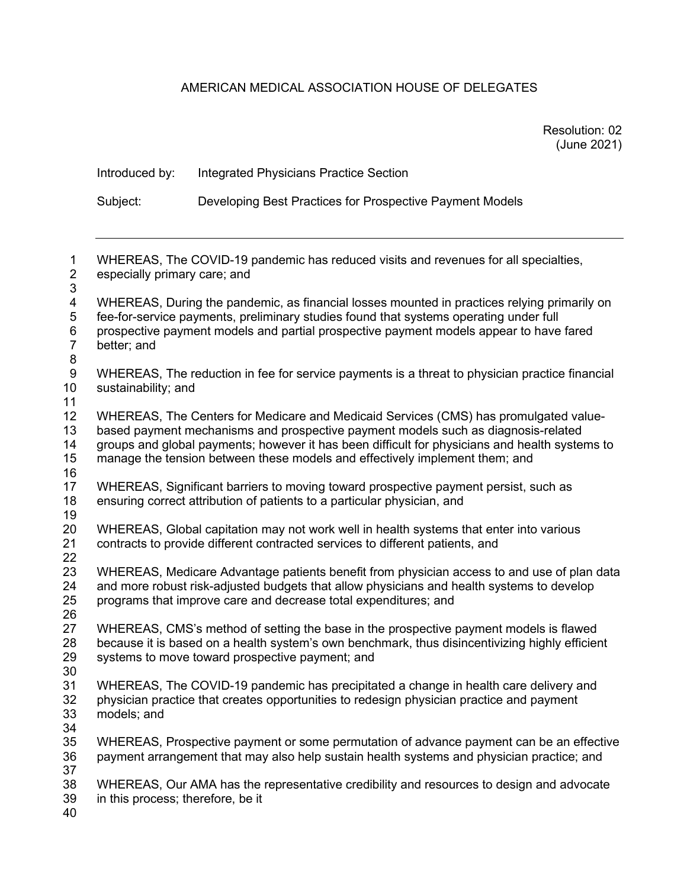# AMERICAN MEDICAL ASSOCIATION HOUSE OF DELEGATES

| Resolution: 02 |  |
|----------------|--|
| (June 2021)    |  |

|                                                                                                                                                                                                                                                                                                     | Introduced by:                                                                                                                                                                                                                                                                                                                                             | <b>Integrated Physicians Practice Section</b>                                                                                                                                                                                                                                  |  |  |
|-----------------------------------------------------------------------------------------------------------------------------------------------------------------------------------------------------------------------------------------------------------------------------------------------------|------------------------------------------------------------------------------------------------------------------------------------------------------------------------------------------------------------------------------------------------------------------------------------------------------------------------------------------------------------|--------------------------------------------------------------------------------------------------------------------------------------------------------------------------------------------------------------------------------------------------------------------------------|--|--|
|                                                                                                                                                                                                                                                                                                     | Subject:                                                                                                                                                                                                                                                                                                                                                   | Developing Best Practices for Prospective Payment Models                                                                                                                                                                                                                       |  |  |
| $\mathbf{1}$<br>$\mathbf{2}$<br>3<br>$\overline{\mathbf{4}}$<br>$\mathbf 5$<br>6<br>$\overline{7}$<br>8<br>$\boldsymbol{9}$<br>10<br>11<br>12<br>13<br>14<br>15<br>16<br>17<br>18<br>19<br>20<br>21<br>22<br>23<br>24<br>25<br>26<br>27<br>28<br>29<br>30<br>31<br>32<br>33<br>34<br>35<br>36<br>37 | especially primary care; and                                                                                                                                                                                                                                                                                                                               | WHEREAS, The COVID-19 pandemic has reduced visits and revenues for all specialties,                                                                                                                                                                                            |  |  |
|                                                                                                                                                                                                                                                                                                     | better; and                                                                                                                                                                                                                                                                                                                                                | WHEREAS, During the pandemic, as financial losses mounted in practices relying primarily on<br>fee-for-service payments, preliminary studies found that systems operating under full<br>prospective payment models and partial prospective payment models appear to have fared |  |  |
|                                                                                                                                                                                                                                                                                                     | sustainability; and                                                                                                                                                                                                                                                                                                                                        | WHEREAS, The reduction in fee for service payments is a threat to physician practice financial                                                                                                                                                                                 |  |  |
|                                                                                                                                                                                                                                                                                                     | WHEREAS, The Centers for Medicare and Medicaid Services (CMS) has promulgated value-<br>based payment mechanisms and prospective payment models such as diagnosis-related<br>groups and global payments; however it has been difficult for physicians and health systems to<br>manage the tension between these models and effectively implement them; and |                                                                                                                                                                                                                                                                                |  |  |
|                                                                                                                                                                                                                                                                                                     |                                                                                                                                                                                                                                                                                                                                                            | WHEREAS, Significant barriers to moving toward prospective payment persist, such as<br>ensuring correct attribution of patients to a particular physician, and                                                                                                                 |  |  |
|                                                                                                                                                                                                                                                                                                     |                                                                                                                                                                                                                                                                                                                                                            | WHEREAS, Global capitation may not work well in health systems that enter into various<br>contracts to provide different contracted services to different patients, and                                                                                                        |  |  |
|                                                                                                                                                                                                                                                                                                     |                                                                                                                                                                                                                                                                                                                                                            | WHEREAS, Medicare Advantage patients benefit from physician access to and use of plan data<br>and more robust risk-adjusted budgets that allow physicians and health systems to develop<br>programs that improve care and decrease total expenditures; and                     |  |  |
|                                                                                                                                                                                                                                                                                                     |                                                                                                                                                                                                                                                                                                                                                            | WHEREAS, CMS's method of setting the base in the prospective payment models is flawed<br>because it is based on a health system's own benchmark, thus disincentivizing highly efficient<br>systems to move toward prospective payment; and                                     |  |  |
|                                                                                                                                                                                                                                                                                                     | models; and                                                                                                                                                                                                                                                                                                                                                | WHEREAS, The COVID-19 pandemic has precipitated a change in health care delivery and<br>physician practice that creates opportunities to redesign physician practice and payment                                                                                               |  |  |
|                                                                                                                                                                                                                                                                                                     |                                                                                                                                                                                                                                                                                                                                                            | WHEREAS, Prospective payment or some permutation of advance payment can be an effective<br>payment arrangement that may also help sustain health systems and physician practice; and                                                                                           |  |  |
| 38<br>39<br>40                                                                                                                                                                                                                                                                                      | in this process; therefore, be it                                                                                                                                                                                                                                                                                                                          | WHEREAS, Our AMA has the representative credibility and resources to design and advocate                                                                                                                                                                                       |  |  |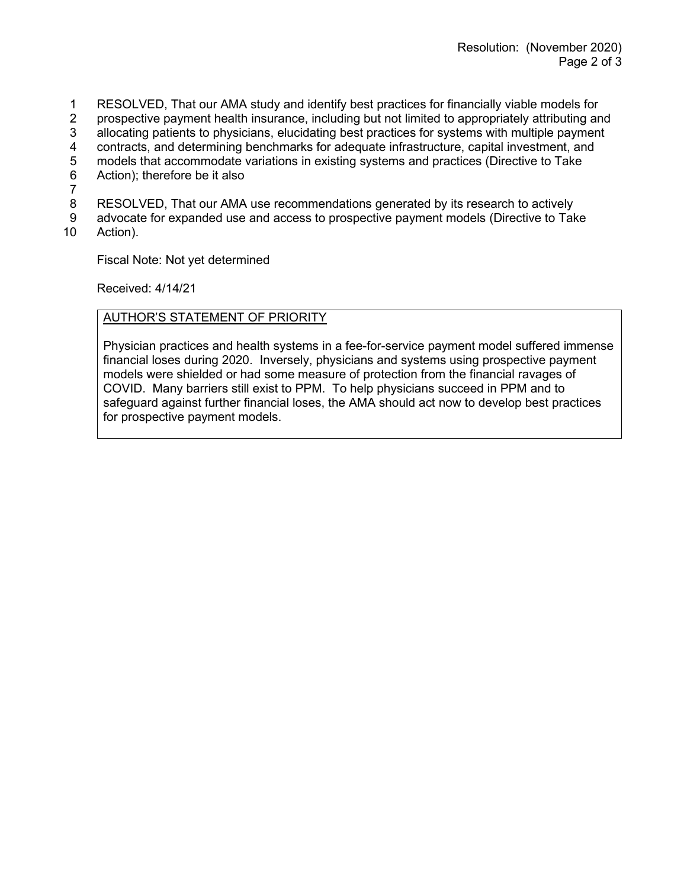- 1 RESOLVED, That our AMA study and identify best practices for financially viable models for<br>2 prospective payment health insurance, including but not limited to appropriately attributing an
- 2 prospective payment health insurance, including but not limited to appropriately attributing and
- 3 allocating patients to physicians, elucidating best practices for systems with multiple payment
- 4 contracts, and determining benchmarks for adequate infrastructure, capital investment, and<br>5 models that accommodate variations in existing systems and practices (Directive to Take
- 5 models that accommodate variations in existing systems and practices (Directive to Take<br>6 Action); therefore be it also
- Action); therefore be it also
- 7
- RESOLVED, That our AMA use recommendations generated by its research to actively
- 9 advocate for expanded use and access to prospective payment models (Directive to Take
- 10 Action).

Fiscal Note: Not yet determined

Received: 4/14/21

## AUTHOR'S STATEMENT OF PRIORITY

Physician practices and health systems in a fee-for-service payment model suffered immense financial loses during 2020. Inversely, physicians and systems using prospective payment models were shielded or had some measure of protection from the financial ravages of COVID. Many barriers still exist to PPM. To help physicians succeed in PPM and to safeguard against further financial loses, the AMA should act now to develop best practices for prospective payment models.